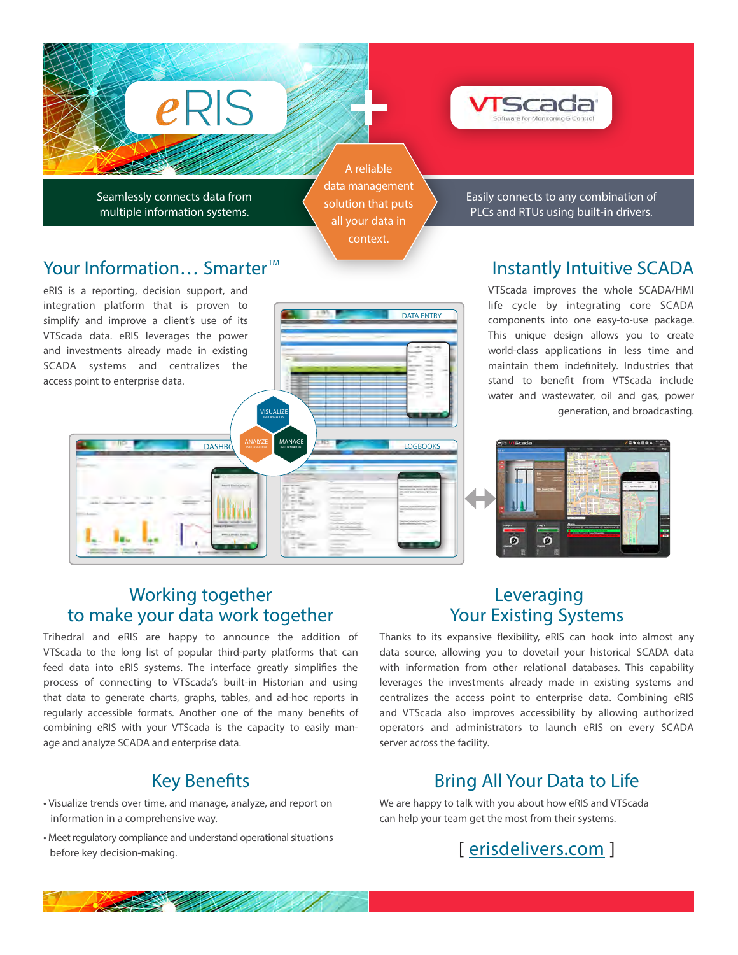

Seamlessly connects data from multiple information systems.

 $e$ RIS

A reliable data management solution that puts all your data in context.

**DASHBOARDS ANALYZE MANAGE THE CONSUMING LOGBOOKS** 

**INFORMATION**

**VISUALIZE INFORMATION**

DATA ENTRY

Easily connects to any combination of PLCs and RTUs using built-in drivers.

# Instantly Intuitive SCADA

VTScada improves the whole SCADA/HMI life cycle by integrating core SCADA components into one easy-to-use package. This unique design allows you to create world-class applications in less time and maintain them indefinitely. Industries that stand to benefit from VTScada include water and wastewater, oil and gas, power generation, and broadcasting.



#### eRIS is a reporting, decision support, and

Your Information... Smarter<sup>™</sup>

integration platform that is proven to simplify and improve a client's use of its VTScada data. eRIS leverages the power and investments already made in existing SCADA systems and centralizes the access point to enterprise data.

### Working together to make your data work together

Trihedral and eRIS are happy to announce the addition of VTScada to the long list of popular third-party platforms that can feed data into eRIS systems. The interface greatly simplifies the process of connecting to VTScada's built-in Historian and using that data to generate charts, graphs, tables, and ad-hoc reports in regularly accessible formats. Another one of the many benefits of combining eRIS with your VTScada is the capacity to easily manage and analyze SCADA and enterprise data.

### **Key Benefits**

- Visualize trends over time, and manage, analyze, and report on information in a comprehensive way.
- Meet regulatory compliance and understand operational situations before key decision-making.

#### Leveraging Your Existing Systems

Thanks to its expansive flexibility, eRIS can hook into almost any data source, allowing you to dovetail your historical SCADA data with information from other relational databases. This capability leverages the investments already made in existing systems and centralizes the access point to enterprise data. Combining eRIS and VTScada also improves accessibility by allowing authorized operators and administrators to launch eRIS on every SCADA server across the facility.

# Bring All Your Data to Life

We are happy to talk with you about how eRIS and VTScada can help your team get the most from their systems.

# [ erisdelivers.com ]